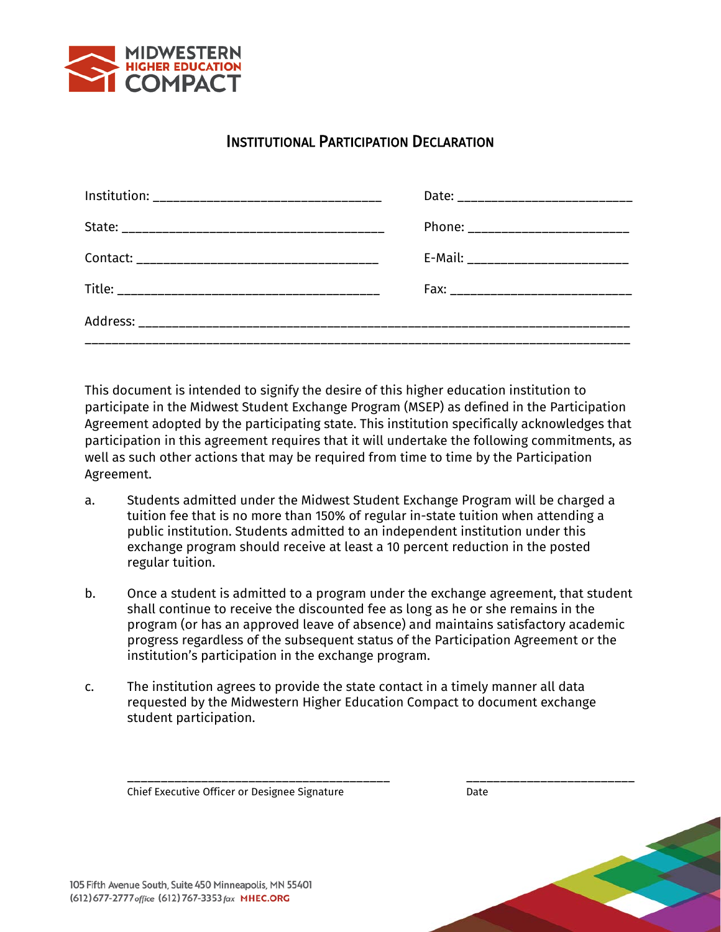

## INSTITUTIONAL PARTICIPATION DECLARATION

| Phone: ___________________________    |
|---------------------------------------|
| E-Mail: _____________________________ |
|                                       |
|                                       |
|                                       |

This document is intended to signify the desire of this higher education institution to participate in the Midwest Student Exchange Program (MSEP) as defined in the Participation Agreement adopted by the participating state. This institution specifically acknowledges that participation in this agreement requires that it will undertake the following commitments, as well as such other actions that may be required from time to time by the Participation Agreement.

- a. Students admitted under the Midwest Student Exchange Program will be charged a tuition fee that is no more than 150% of regular in-state tuition when attending a public institution. Students admitted to an independent institution under this exchange program should receive at least a 10 percent reduction in the posted regular tuition.
- b. Once a student is admitted to a program under the exchange agreement, that student shall continue to receive the discounted fee as long as he or she remains in the program (or has an approved leave of absence) and maintains satisfactory academic progress regardless of the subsequent status of the Participation Agreement or the institution's participation in the exchange program.
- c. The institution agrees to provide the state contact in a timely manner all data requested by the Midwestern Higher Education Compact to document exchange student participation.

Chief Executive Officer or Designee Signature **Date** Date

\_\_\_\_\_\_\_\_\_\_\_\_\_\_\_\_\_\_\_\_\_\_\_\_\_\_\_\_\_\_\_\_\_\_\_\_\_\_\_ \_\_\_\_\_\_\_\_\_\_\_\_\_\_\_\_\_\_\_\_\_\_\_\_\_